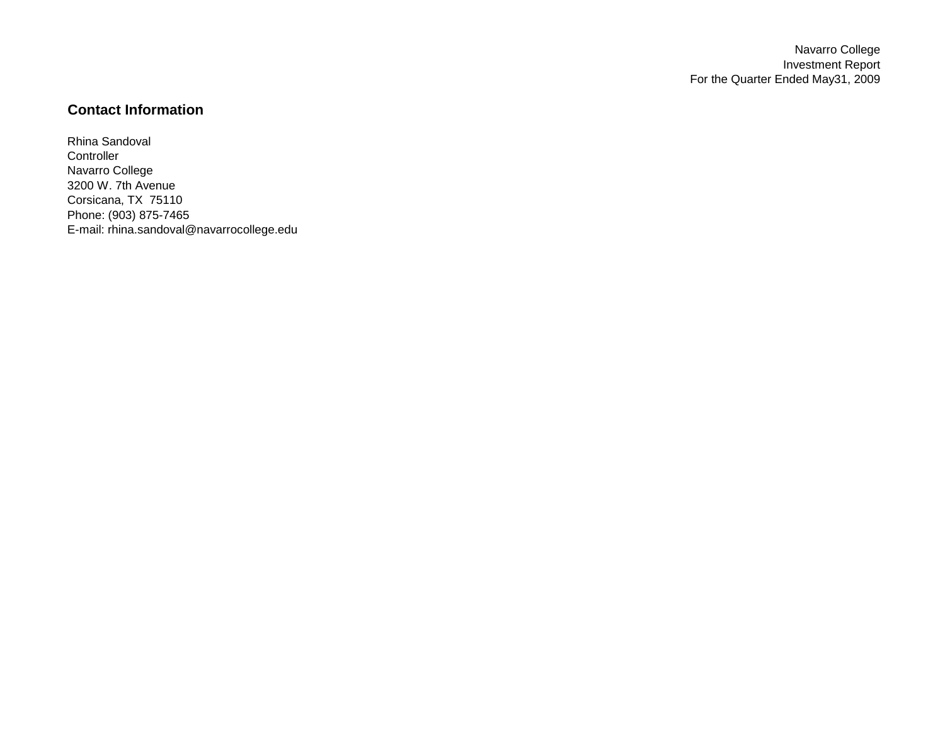Navarro College Investment Report For the Quarter Ended May31, 2009

## **Contact Information**

Rhina Sandoval **Controller** Navarro College 3200 W. 7th Avenue Corsicana, TX 75110 Phone: (903) 875-7465 E-mail: rhina.sandoval@navarrocollege.edu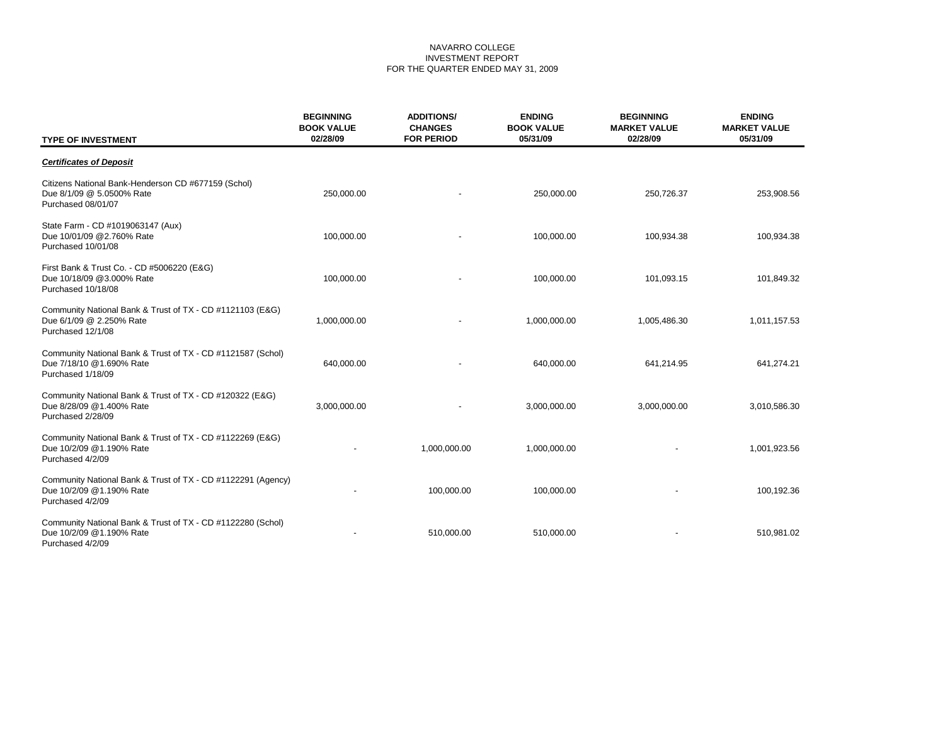## NAVARRO COLLEGE INVESTMENT REPORT FOR THE QUARTER ENDED MAY 31, 2009

| <b>TYPE OF INVESTMENT</b>                                                                                    | <b>BEGINNING</b><br><b>BOOK VALUE</b><br>02/28/09 | <b>ADDITIONS/</b><br><b>CHANGES</b><br><b>FOR PERIOD</b> | <b>ENDING</b><br><b>BOOK VALUE</b><br>05/31/09 | <b>BEGINNING</b><br><b>MARKET VALUE</b><br>02/28/09 | <b>ENDING</b><br><b>MARKET VALUE</b><br>05/31/09 |
|--------------------------------------------------------------------------------------------------------------|---------------------------------------------------|----------------------------------------------------------|------------------------------------------------|-----------------------------------------------------|--------------------------------------------------|
| <b>Certificates of Deposit</b>                                                                               |                                                   |                                                          |                                                |                                                     |                                                  |
| Citizens National Bank-Henderson CD #677159 (Schol)<br>Due 8/1/09 @ 5.0500% Rate<br>Purchased 08/01/07       | 250,000.00                                        |                                                          | 250,000.00                                     | 250,726.37                                          | 253,908.56                                       |
| State Farm - CD #1019063147 (Aux)<br>Due 10/01/09 @2.760% Rate<br>Purchased 10/01/08                         | 100,000.00                                        |                                                          | 100,000.00                                     | 100,934.38                                          | 100,934.38                                       |
| First Bank & Trust Co. - CD #5006220 (E&G)<br>Due 10/18/09 @3.000% Rate<br>Purchased 10/18/08                | 100,000.00                                        |                                                          | 100,000.00                                     | 101,093.15                                          | 101,849.32                                       |
| Community National Bank & Trust of TX - CD #1121103 (E&G)<br>Due 6/1/09 @ 2.250% Rate<br>Purchased 12/1/08   | 1,000,000.00                                      |                                                          | 1,000,000.00                                   | 1,005,486.30                                        | 1,011,157.53                                     |
| Community National Bank & Trust of TX - CD #1121587 (Schol)<br>Due 7/18/10 @1.690% Rate<br>Purchased 1/18/09 | 640,000.00                                        |                                                          | 640,000.00                                     | 641,214.95                                          | 641,274.21                                       |
| Community National Bank & Trust of TX - CD #120322 (E&G)<br>Due 8/28/09 @1.400% Rate<br>Purchased 2/28/09    | 3,000,000.00                                      |                                                          | 3,000,000.00                                   | 3,000,000.00                                        | 3,010,586.30                                     |
| Community National Bank & Trust of TX - CD #1122269 (E&G)<br>Due 10/2/09 @1.190% Rate<br>Purchased 4/2/09    |                                                   | 1,000,000.00                                             | 1,000,000.00                                   |                                                     | 1,001,923.56                                     |
| Community National Bank & Trust of TX - CD #1122291 (Agency)<br>Due 10/2/09 @1.190% Rate<br>Purchased 4/2/09 |                                                   | 100,000.00                                               | 100,000.00                                     |                                                     | 100,192.36                                       |
| Community National Bank & Trust of TX - CD #1122280 (Schol)<br>Due 10/2/09 @1.190% Rate<br>Purchased 4/2/09  |                                                   | 510,000.00                                               | 510,000.00                                     |                                                     | 510,981.02                                       |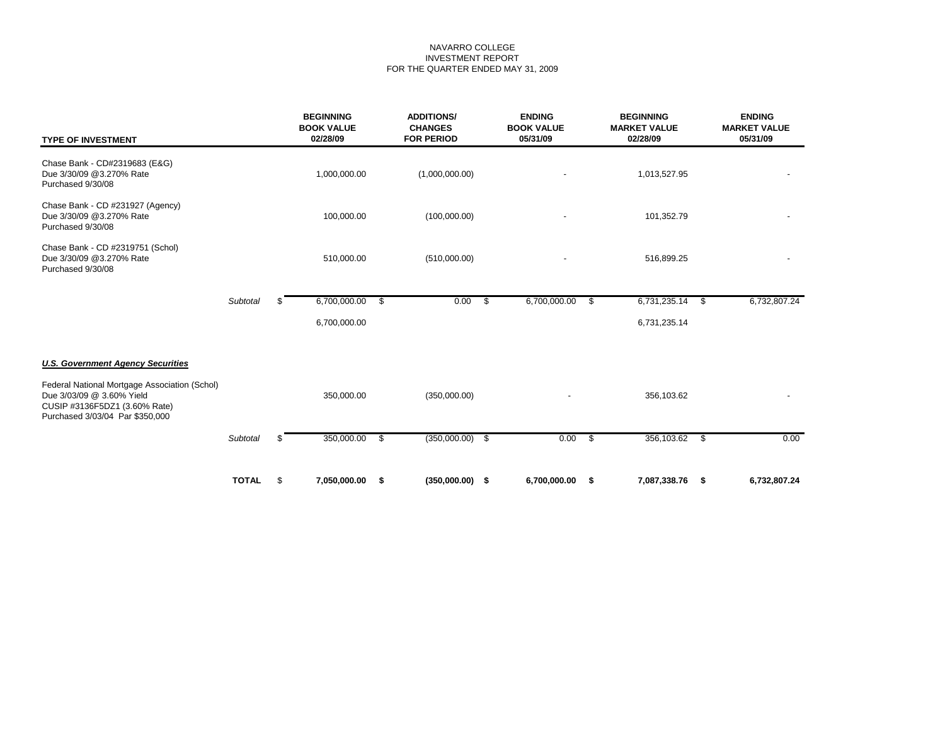## NAVARRO COLLEGE INVESTMENT REPORT FOR THE QUARTER ENDED MAY 31, 2009

| <b>TYPE OF INVESTMENT</b>                                                                                                                      |              | <b>BEGINNING</b><br><b>BOOK VALUE</b><br>02/28/09 |    | <b>ADDITIONS/</b><br><b>CHANGES</b><br><b>FOR PERIOD</b> |      | <b>ENDING</b><br><b>BOOK VALUE</b><br>05/31/09 |      | <b>BEGINNING</b><br><b>MARKET VALUE</b><br>02/28/09 |      | <b>ENDING</b><br><b>MARKET VALUE</b><br>05/31/09 |  |
|------------------------------------------------------------------------------------------------------------------------------------------------|--------------|---------------------------------------------------|----|----------------------------------------------------------|------|------------------------------------------------|------|-----------------------------------------------------|------|--------------------------------------------------|--|
| Chase Bank - CD#2319683 (E&G)<br>Due 3/30/09 @3.270% Rate<br>Purchased 9/30/08                                                                 |              | 1,000,000.00                                      |    | (1,000,000.00)                                           |      |                                                |      | 1,013,527.95                                        |      |                                                  |  |
| Chase Bank - CD #231927 (Agency)<br>Due 3/30/09 @3.270% Rate<br>Purchased 9/30/08                                                              |              | 100,000.00                                        |    | (100,000.00)                                             |      |                                                |      | 101,352.79                                          |      |                                                  |  |
| Chase Bank - CD #2319751 (Schol)<br>Due 3/30/09 @3.270% Rate<br>Purchased 9/30/08                                                              |              | 510,000.00                                        |    | (510,000.00)                                             |      |                                                |      | 516,899.25                                          |      |                                                  |  |
|                                                                                                                                                | Subtotal     | \$<br>6,700,000.00                                | \$ | 0.00                                                     | - \$ | 6,700,000.00                                   | -\$  | 6,731,235.14                                        | - \$ | 6,732,807.24                                     |  |
|                                                                                                                                                |              | 6,700,000.00                                      |    |                                                          |      |                                                |      | 6,731,235.14                                        |      |                                                  |  |
| <b>U.S. Government Agency Securities</b>                                                                                                       |              |                                                   |    |                                                          |      |                                                |      |                                                     |      |                                                  |  |
| Federal National Mortgage Association (Schol)<br>Due 3/03/09 @ 3.60% Yield<br>CUSIP #3136F5DZ1 (3.60% Rate)<br>Purchased 3/03/04 Par \$350,000 |              | 350,000.00                                        |    | (350,000.00)                                             |      |                                                |      | 356,103.62                                          |      |                                                  |  |
|                                                                                                                                                | Subtotal     | \$<br>350,000.00                                  | \$ | $(350,000.00)$ \$                                        |      | 0.00                                           | - \$ | 356,103.62                                          | \$   | 0.00                                             |  |
|                                                                                                                                                | <b>TOTAL</b> | \$<br>7,050,000.00                                | \$ | $(350,000.00)$ \$                                        |      | 6,700,000.00                                   | \$   | 7,087,338.76                                        | - \$ | 6,732,807.24                                     |  |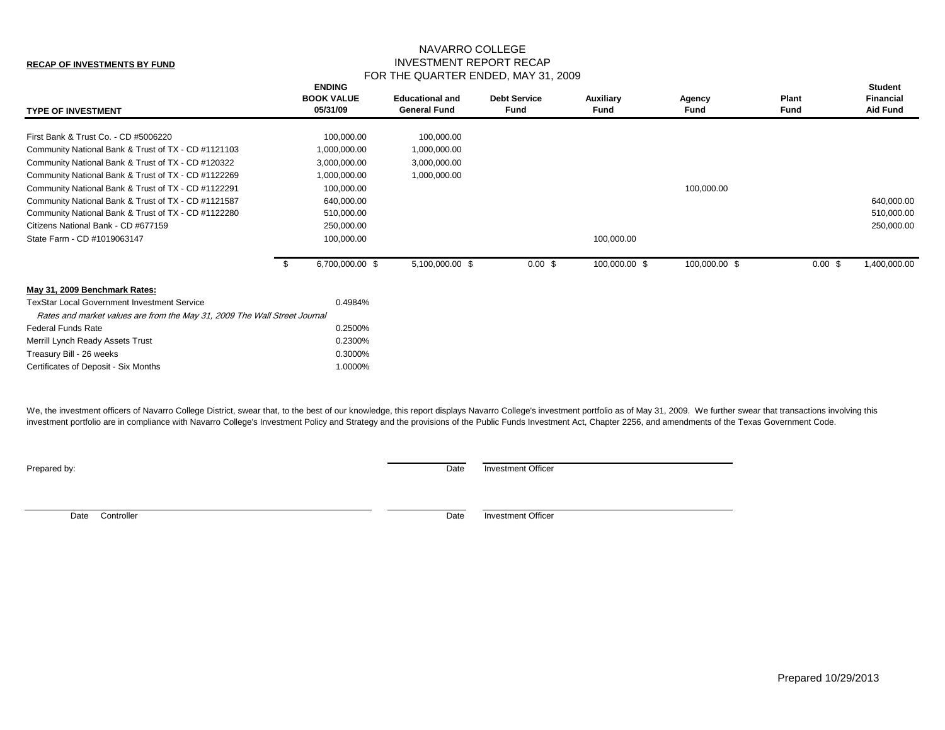## NAVARRO COLLEGE INVESTMENT REPORT RECAP FOR THE QUARTER ENDED, MAY 31, 2009

| First Bank & Trust Co. - CD #5006220<br>100,000.00<br>100,000.00<br>Community National Bank & Trust of TX - CD #1121103<br>1,000,000.00<br>1,000,000.00<br>Community National Bank & Trust of TX - CD #120322<br>3,000,000.00<br>3,000,000.00<br>Community National Bank & Trust of TX - CD #1122269<br>1,000,000.00<br>1,000,000.00<br>Community National Bank & Trust of TX - CD #1122291<br>100,000.00<br>100,000.00<br>Community National Bank & Trust of TX - CD #1121587<br>640,000.00<br>640,000.00<br>Community National Bank & Trust of TX - CD #1122280<br>510,000.00<br>510,000.00<br>250,000.00<br>Citizens National Bank - CD #677159<br>250,000.00<br>State Farm - CD #1019063147<br>100,000.00<br>100,000.00<br>1,400,000.00<br>6,700,000.00 \$<br>100,000.00 \$<br>5,100,000.00 \$<br>100,000.00 \$<br>0.00~\$<br>$0.00$ \$<br>May 31, 2009 Benchmark Rates:<br><b>TexStar Local Government Investment Service</b><br>0.4984%<br>Rates and market values are from the May 31, 2009 The Wall Street Journal<br><b>Federal Funds Rate</b><br>0.2500%<br>0.2300%<br>Merrill Lynch Ready Assets Trust<br>0.3000%<br>Treasury Bill - 26 weeks | <b>TYPE OF INVESTMENT</b>            | <b>ENDING</b><br><b>BOOK VALUE</b><br>05/31/09 | <b>Educational and</b><br><b>General Fund</b> | <b>Debt Service</b><br>Fund | Auxiliary<br>Fund | Agency<br>Fund | Plant<br><b>Fund</b> | <b>Student</b><br><b>Financial</b><br><b>Aid Fund</b> |
|----------------------------------------------------------------------------------------------------------------------------------------------------------------------------------------------------------------------------------------------------------------------------------------------------------------------------------------------------------------------------------------------------------------------------------------------------------------------------------------------------------------------------------------------------------------------------------------------------------------------------------------------------------------------------------------------------------------------------------------------------------------------------------------------------------------------------------------------------------------------------------------------------------------------------------------------------------------------------------------------------------------------------------------------------------------------------------------------------------------------------------------------------------|--------------------------------------|------------------------------------------------|-----------------------------------------------|-----------------------------|-------------------|----------------|----------------------|-------------------------------------------------------|
|                                                                                                                                                                                                                                                                                                                                                                                                                                                                                                                                                                                                                                                                                                                                                                                                                                                                                                                                                                                                                                                                                                                                                          |                                      |                                                |                                               |                             |                   |                |                      |                                                       |
|                                                                                                                                                                                                                                                                                                                                                                                                                                                                                                                                                                                                                                                                                                                                                                                                                                                                                                                                                                                                                                                                                                                                                          |                                      |                                                |                                               |                             |                   |                |                      |                                                       |
|                                                                                                                                                                                                                                                                                                                                                                                                                                                                                                                                                                                                                                                                                                                                                                                                                                                                                                                                                                                                                                                                                                                                                          |                                      |                                                |                                               |                             |                   |                |                      |                                                       |
|                                                                                                                                                                                                                                                                                                                                                                                                                                                                                                                                                                                                                                                                                                                                                                                                                                                                                                                                                                                                                                                                                                                                                          |                                      |                                                |                                               |                             |                   |                |                      |                                                       |
|                                                                                                                                                                                                                                                                                                                                                                                                                                                                                                                                                                                                                                                                                                                                                                                                                                                                                                                                                                                                                                                                                                                                                          |                                      |                                                |                                               |                             |                   |                |                      |                                                       |
|                                                                                                                                                                                                                                                                                                                                                                                                                                                                                                                                                                                                                                                                                                                                                                                                                                                                                                                                                                                                                                                                                                                                                          |                                      |                                                |                                               |                             |                   |                |                      |                                                       |
|                                                                                                                                                                                                                                                                                                                                                                                                                                                                                                                                                                                                                                                                                                                                                                                                                                                                                                                                                                                                                                                                                                                                                          |                                      |                                                |                                               |                             |                   |                |                      |                                                       |
|                                                                                                                                                                                                                                                                                                                                                                                                                                                                                                                                                                                                                                                                                                                                                                                                                                                                                                                                                                                                                                                                                                                                                          |                                      |                                                |                                               |                             |                   |                |                      |                                                       |
|                                                                                                                                                                                                                                                                                                                                                                                                                                                                                                                                                                                                                                                                                                                                                                                                                                                                                                                                                                                                                                                                                                                                                          |                                      |                                                |                                               |                             |                   |                |                      |                                                       |
|                                                                                                                                                                                                                                                                                                                                                                                                                                                                                                                                                                                                                                                                                                                                                                                                                                                                                                                                                                                                                                                                                                                                                          |                                      |                                                |                                               |                             |                   |                |                      |                                                       |
|                                                                                                                                                                                                                                                                                                                                                                                                                                                                                                                                                                                                                                                                                                                                                                                                                                                                                                                                                                                                                                                                                                                                                          |                                      |                                                |                                               |                             |                   |                |                      |                                                       |
|                                                                                                                                                                                                                                                                                                                                                                                                                                                                                                                                                                                                                                                                                                                                                                                                                                                                                                                                                                                                                                                                                                                                                          |                                      |                                                |                                               |                             |                   |                |                      |                                                       |
|                                                                                                                                                                                                                                                                                                                                                                                                                                                                                                                                                                                                                                                                                                                                                                                                                                                                                                                                                                                                                                                                                                                                                          |                                      |                                                |                                               |                             |                   |                |                      |                                                       |
|                                                                                                                                                                                                                                                                                                                                                                                                                                                                                                                                                                                                                                                                                                                                                                                                                                                                                                                                                                                                                                                                                                                                                          |                                      |                                                |                                               |                             |                   |                |                      |                                                       |
|                                                                                                                                                                                                                                                                                                                                                                                                                                                                                                                                                                                                                                                                                                                                                                                                                                                                                                                                                                                                                                                                                                                                                          |                                      |                                                |                                               |                             |                   |                |                      |                                                       |
|                                                                                                                                                                                                                                                                                                                                                                                                                                                                                                                                                                                                                                                                                                                                                                                                                                                                                                                                                                                                                                                                                                                                                          |                                      |                                                |                                               |                             |                   |                |                      |                                                       |
|                                                                                                                                                                                                                                                                                                                                                                                                                                                                                                                                                                                                                                                                                                                                                                                                                                                                                                                                                                                                                                                                                                                                                          |                                      |                                                |                                               |                             |                   |                |                      |                                                       |
|                                                                                                                                                                                                                                                                                                                                                                                                                                                                                                                                                                                                                                                                                                                                                                                                                                                                                                                                                                                                                                                                                                                                                          | Certificates of Deposit - Six Months | 1.0000%                                        |                                               |                             |                   |                |                      |                                                       |

We, the investment officers of Navarro College District, swear that, to the best of our knowledge, this report displays Navarro College's investment portfolio as of May 31, 2009. We further swear that transactions involvin investment portfolio are in compliance with Navarro College's Investment Policy and Strategy and the provisions of the Public Funds Investment Act, Chapter 2256, and amendments of the Texas Government Code.

**Prepared by:** Date Investment Officer

**RECAP OF INVESTMENTS BY FUND**

Date Controller **Date Investment Officer** Date Investment Officer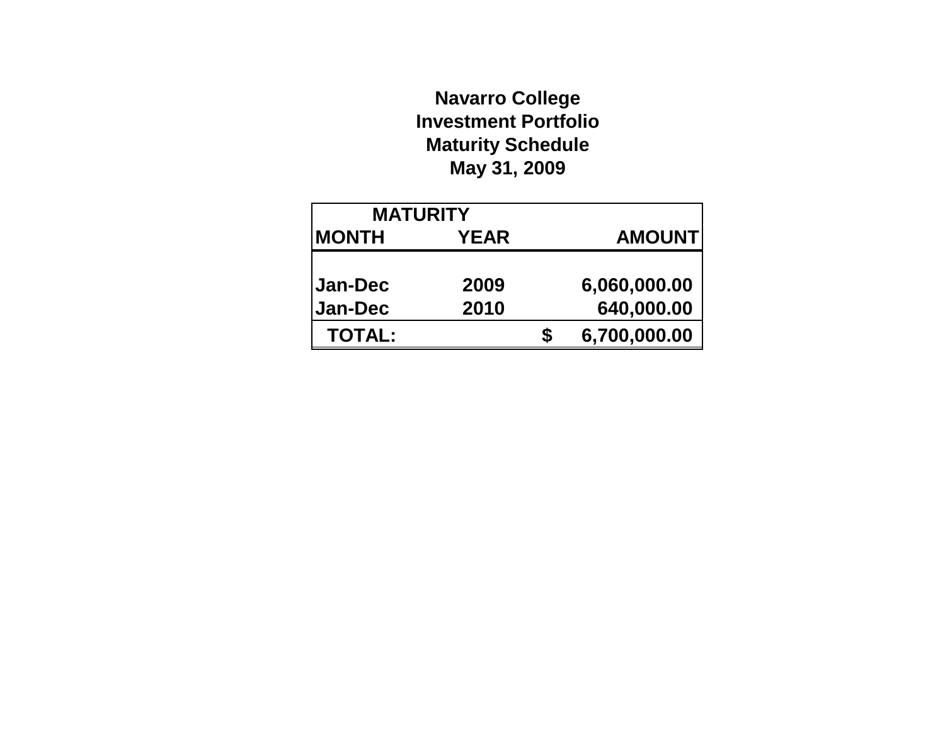# **Navarro College Investment Portfolio Maturity Schedule May 31, 2009**

| <b>MATURITY</b>           |              |   |                            |
|---------------------------|--------------|---|----------------------------|
| <b>MONTH</b>              | <b>YEAR</b>  |   | <b>AMOUNT</b>              |
| Jan-Dec<br><b>Jan-Dec</b> | 2009<br>2010 |   | 6,060,000.00<br>640,000.00 |
| <b>TOTAL:</b>             |              | S | 6,700,000.00               |